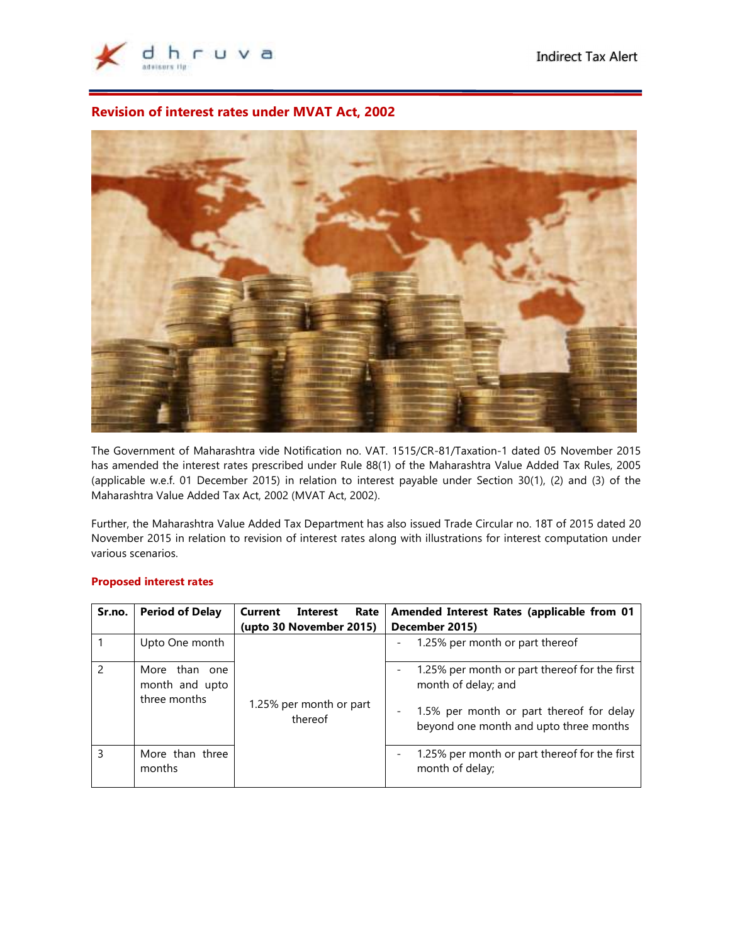

# **Revision of interest rates under MVAT Act, 2002**

 $\overline{a}$ 



The Government of Maharashtra vide Notification no. VAT. 1515/CR-81/Taxation-1 dated 05 November 2015 has amended the interest rates prescribed under Rule 88(1) of the Maharashtra Value Added Tax Rules, 2005 (applicable w.e.f. 01 December 2015) in relation to interest payable under Section 30(1), (2) and (3) of the Maharashtra Value Added Tax Act, 2002 (MVAT Act, 2002).

Further, the Maharashtra Value Added Tax Department has also issued Trade Circular no. 18T of 2015 dated 20 November 2015 in relation to revision of interest rates along with illustrations for interest computation under various scenarios.

| Sr.no.                   | <b>Period of Delay</b>                          | Current<br>Interest<br>Rate<br>(upto 30 November 2015) | Amended Interest Rates (applicable from 01<br>December 2015)                       |  |
|--------------------------|-------------------------------------------------|--------------------------------------------------------|------------------------------------------------------------------------------------|--|
|                          | Upto One month                                  |                                                        | 1.25% per month or part thereof                                                    |  |
| $\overline{\phantom{0}}$ | More than one<br>month and upto<br>three months | 1.25% per month or part<br>thereof                     | 1.25% per month or part thereof for the first<br>month of delay; and               |  |
|                          |                                                 |                                                        | 1.5% per month or part thereof for delay<br>beyond one month and upto three months |  |
| 3                        | More than three<br>months                       |                                                        | 1.25% per month or part thereof for the first<br>month of delay;                   |  |

# **Proposed interest rates**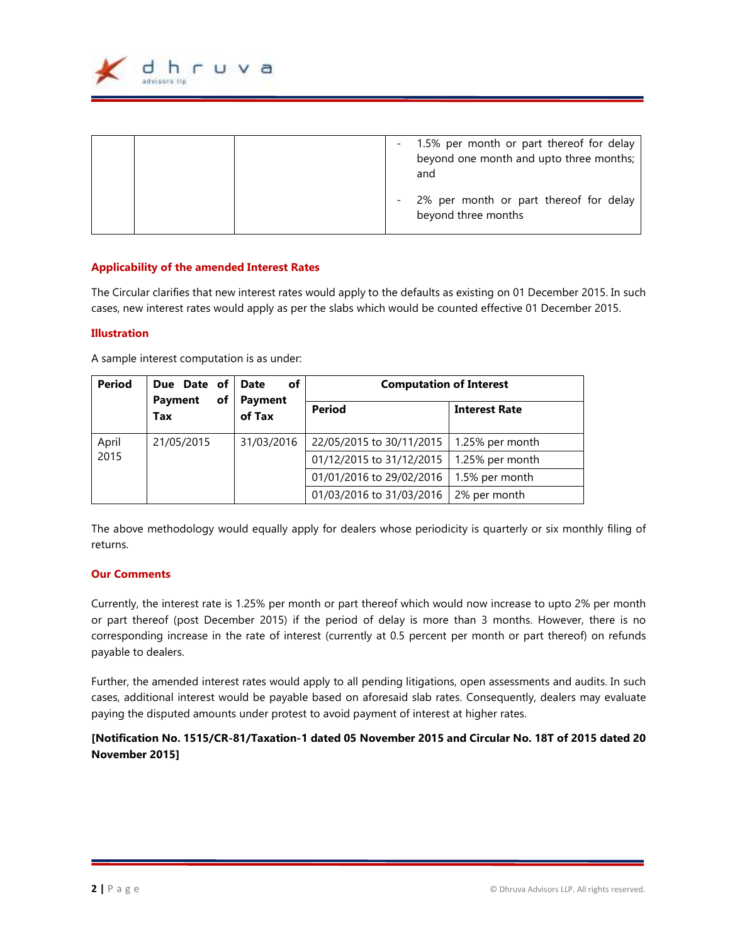

|  | 1.5% per month or part thereof for delay<br>$\sim$ 100 $\mu$<br>beyond one month and upto three months;<br>and |
|--|----------------------------------------------------------------------------------------------------------------|
|  | 2% per month or part thereof for delay<br>$\overline{\phantom{a}}$<br>beyond three months                      |

## **Applicability of the amended Interest Rates**

The Circular clarifies that new interest rates would apply to the defaults as existing on 01 December 2015. In such cases, new interest rates would apply as per the slabs which would be counted effective 01 December 2015.

### **Illustration**

A sample interest computation is as under:

| <b>Period</b> | Due Date of<br><b>Payment</b><br>of | оf<br><b>Date</b><br>Payment<br>of Tax | <b>Computation of Interest</b> |                      |
|---------------|-------------------------------------|----------------------------------------|--------------------------------|----------------------|
|               | Tax                                 |                                        | <b>Period</b>                  | <b>Interest Rate</b> |
| April         | 21/05/2015                          | 31/03/2016                             | 22/05/2015 to 30/11/2015       | 1.25% per month      |
| 2015          |                                     |                                        | 01/12/2015 to 31/12/2015       | 1.25% per month      |
|               |                                     |                                        | 01/01/2016 to 29/02/2016       | 1.5% per month       |
|               |                                     |                                        | 01/03/2016 to 31/03/2016       | 2% per month         |

The above methodology would equally apply for dealers whose periodicity is quarterly or six monthly filing of returns.

## **Our Comments**

Currently, the interest rate is 1.25% per month or part thereof which would now increase to upto 2% per month or part thereof (post December 2015) if the period of delay is more than 3 months. However, there is no corresponding increase in the rate of interest (currently at 0.5 percent per month or part thereof) on refunds payable to dealers.

Further, the amended interest rates would apply to all pending litigations, open assessments and audits. In such cases, additional interest would be payable based on aforesaid slab rates. Consequently, dealers may evaluate paying the disputed amounts under protest to avoid payment of interest at higher rates.

# **[Notification No. 1515/CR-81/Taxation-1 dated 05 November 2015 and Circular No. 18T of 2015 dated 20 November 2015]**